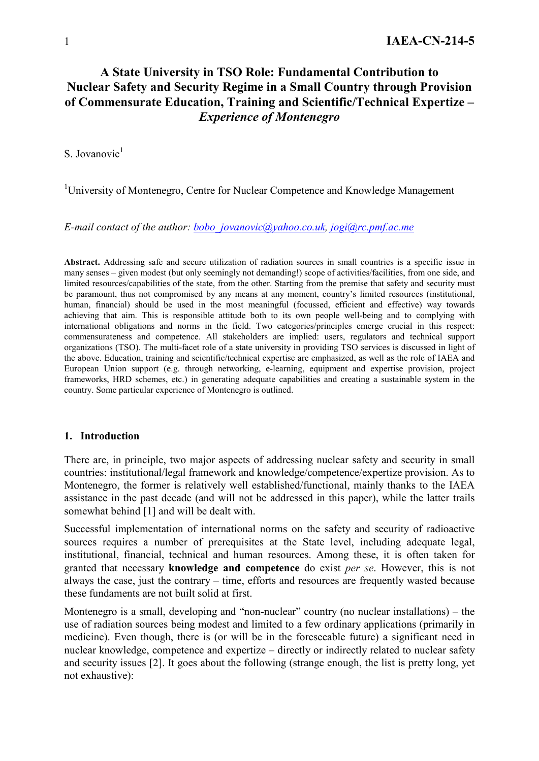# **A State University in TSO Role: Fundamental Contribution to Nuclear Safety and Security Regime in a Small Country through Provision of Commensurate Education, Training and Scientific/Technical Expertize –**  *Experience of Montenegro*

S. Jovanovic $<sup>1</sup>$ </sup>

<sup>1</sup>University of Montenegro, Centre for Nuclear Competence and Knowledge Management

*E-mail contact of the author: bobo\_jovanovic@yahoo.co.uk, jogi@rc.pmf.ac.me* 

**Abstract.** Addressing safe and secure utilization of radiation sources in small countries is a specific issue in many senses – given modest (but only seemingly not demanding!) scope of activities/facilities, from one side, and limited resources/capabilities of the state, from the other. Starting from the premise that safety and security must be paramount, thus not compromised by any means at any moment, country's limited resources (institutional, human, financial) should be used in the most meaningful (focussed, efficient and effective) way towards achieving that aim. This is responsible attitude both to its own people well-being and to complying with international obligations and norms in the field. Two categories/principles emerge crucial in this respect: commensurateness and competence. All stakeholders are implied: users, regulators and technical support organizations (TSO). The multi-facet role of a state university in providing TSO services is discussed in light of the above. Education, training and scientific/technical expertise are emphasized, as well as the role of IAEA and European Union support (e.g. through networking, e-learning, equipment and expertise provision, project frameworks, HRD schemes, etc.) in generating adequate capabilities and creating a sustainable system in the country. Some particular experience of Montenegro is outlined.

#### **1. Introduction**

There are, in principle, two major aspects of addressing nuclear safety and security in small countries: institutional/legal framework and knowledge/competence/expertize provision. As to Montenegro, the former is relatively well established/functional, mainly thanks to the IAEA assistance in the past decade (and will not be addressed in this paper), while the latter trails somewhat behind [1] and will be dealt with.

Successful implementation of international norms on the safety and security of radioactive sources requires a number of prerequisites at the State level, including adequate legal, institutional, financial, technical and human resources. Among these, it is often taken for granted that necessary **knowledge and competence** do exist *per se*. However, this is not always the case, just the contrary – time, efforts and resources are frequently wasted because these fundaments are not built solid at first.

Montenegro is a small, developing and "non-nuclear" country (no nuclear installations) – the use of radiation sources being modest and limited to a few ordinary applications (primarily in medicine). Even though, there is (or will be in the foreseeable future) a significant need in nuclear knowledge, competence and expertize – directly or indirectly related to nuclear safety and security issues [2]. It goes about the following (strange enough, the list is pretty long, yet not exhaustive):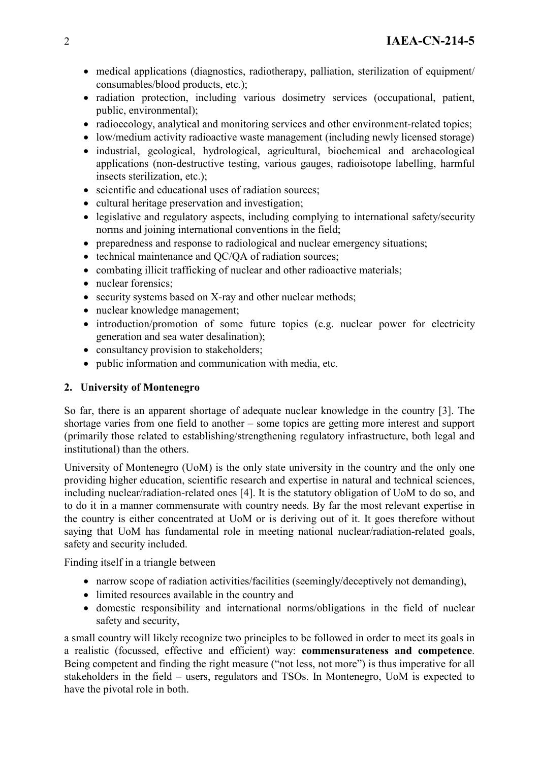- medical applications (diagnostics, radiotherapy, palliation, sterilization of equipment/ consumables/blood products, etc.);
- radiation protection, including various dosimetry services (occupational, patient, public, environmental);
- radioecology, analytical and monitoring services and other environment-related topics;
- low/medium activity radioactive waste management (including newly licensed storage)
- industrial, geological, hydrological, agricultural, biochemical and archaeological applications (non-destructive testing, various gauges, radioisotope labelling, harmful insects sterilization, etc.);
- scientific and educational uses of radiation sources;
- cultural heritage preservation and investigation:
- legislative and regulatory aspects, including complying to international safety/security norms and joining international conventions in the field;
- preparedness and response to radiological and nuclear emergency situations;
- technical maintenance and QC/QA of radiation sources;
- combating illicit trafficking of nuclear and other radioactive materials;
- nuclear forensics:
- security systems based on X-ray and other nuclear methods:
- nuclear knowledge management;
- introduction/promotion of some future topics (e.g. nuclear power for electricity generation and sea water desalination);
- consultancy provision to stakeholders;
- public information and communication with media, etc.

## **2. University of Montenegro**

So far, there is an apparent shortage of adequate nuclear knowledge in the country [3]. The shortage varies from one field to another – some topics are getting more interest and support (primarily those related to establishing/strengthening regulatory infrastructure, both legal and institutional) than the others.

University of Montenegro (UoM) is the only state university in the country and the only one providing higher education, scientific research and expertise in natural and technical sciences, including nuclear/radiation-related ones [4]. It is the statutory obligation of UoM to do so, and to do it in a manner commensurate with country needs. By far the most relevant expertise in the country is either concentrated at UoM or is deriving out of it. It goes therefore without saying that UoM has fundamental role in meeting national nuclear/radiation-related goals, safety and security included.

Finding itself in a triangle between

- narrow scope of radiation activities/facilities (seemingly/deceptively not demanding),
- limited resources available in the country and
- domestic responsibility and international norms/obligations in the field of nuclear safety and security,

a small country will likely recognize two principles to be followed in order to meet its goals in a realistic (focussed, effective and efficient) way: **commensurateness and competence**. Being competent and finding the right measure ("not less, not more") is thus imperative for all stakeholders in the field – users, regulators and TSOs. In Montenegro, UoM is expected to have the pivotal role in both.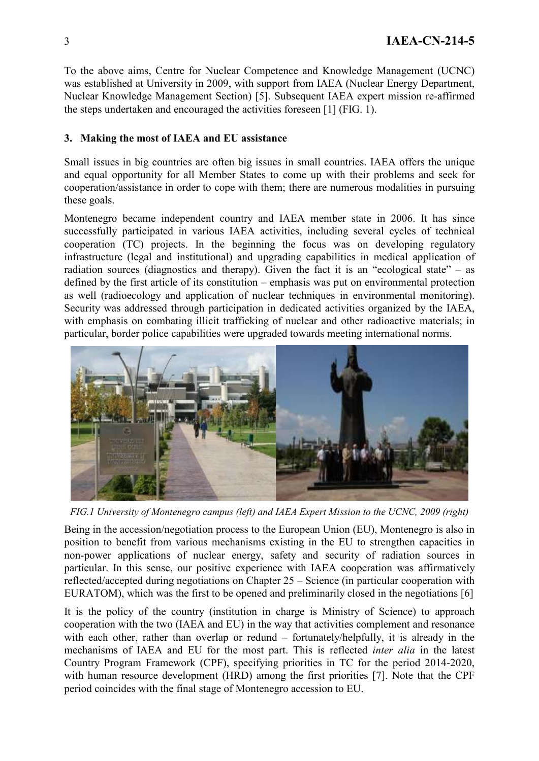To the above aims, Centre for Nuclear Competence and Knowledge Management (UCNC) was established at University in 2009, with support from IAEA (Nuclear Energy Department, Nuclear Knowledge Management Section) [5]. Subsequent IAEA expert mission re-affirmed the steps undertaken and encouraged the activities foreseen [1] (FIG. 1).

### **3. Making the most of IAEA and EU assistance**

Small issues in big countries are often big issues in small countries. IAEA offers the unique and equal opportunity for all Member States to come up with their problems and seek for cooperation/assistance in order to cope with them; there are numerous modalities in pursuing these goals.

Montenegro became independent country and IAEA member state in 2006. It has since successfully participated in various IAEA activities, including several cycles of technical cooperation (TC) projects. In the beginning the focus was on developing regulatory infrastructure (legal and institutional) and upgrading capabilities in medical application of radiation sources (diagnostics and therapy). Given the fact it is an "ecological state" – as defined by the first article of its constitution – emphasis was put on environmental protection as well (radioecology and application of nuclear techniques in environmental monitoring). Security was addressed through participation in dedicated activities organized by the IAEA, with emphasis on combating illicit trafficking of nuclear and other radioactive materials; in particular, border police capabilities were upgraded towards meeting international norms.



*FIG.1 University of Montenegro campus (left) and IAEA Expert Mission to the UCNC, 2009 (right)* 

Being in the accession/negotiation process to the European Union (EU), Montenegro is also in position to benefit from various mechanisms existing in the EU to strengthen capacities in non-power applications of nuclear energy, safety and security of radiation sources in particular. In this sense, our positive experience with IAEA cooperation was affirmatively reflected/accepted during negotiations on Chapter 25 – Science (in particular cooperation with EURATOM), which was the first to be opened and preliminarily closed in the negotiations [6]

It is the policy of the country (institution in charge is Ministry of Science) to approach cooperation with the two (IAEA and EU) in the way that activities complement and resonance with each other, rather than overlap or redund – fortunately/helpfully, it is already in the mechanisms of IAEA and EU for the most part. This is reflected *inter alia* in the latest Country Program Framework (CPF), specifying priorities in TC for the period 2014-2020, with human resource development (HRD) among the first priorities [7]. Note that the CPF period coincides with the final stage of Montenegro accession to EU.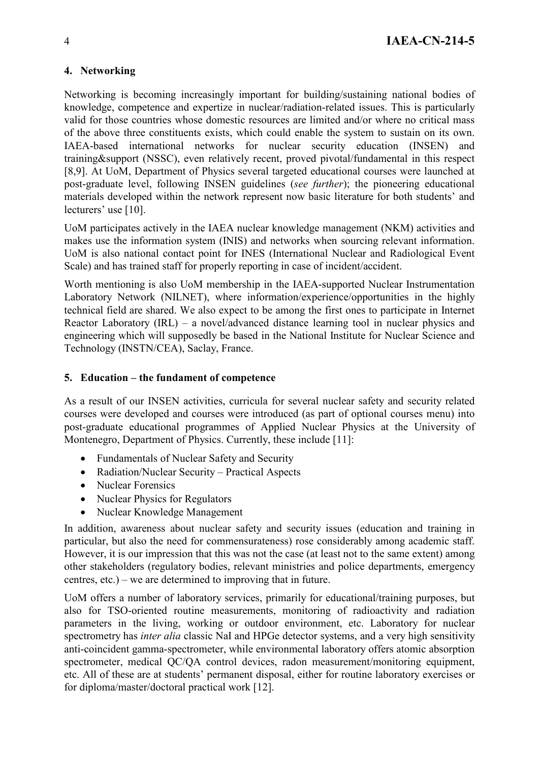## **4. Networking**

Networking is becoming increasingly important for building/sustaining national bodies of knowledge, competence and expertize in nuclear/radiation-related issues. This is particularly valid for those countries whose domestic resources are limited and/or where no critical mass of the above three constituents exists, which could enable the system to sustain on its own. IAEA-based international networks for nuclear security education (INSEN) and training&support (NSSC), even relatively recent, proved pivotal/fundamental in this respect [8,9]. At UoM, Department of Physics several targeted educational courses were launched at post-graduate level, following INSEN guidelines (*see further*); the pioneering educational materials developed within the network represent now basic literature for both students' and lecturers' use [10].

UoM participates actively in the IAEA nuclear knowledge management (NKM) activities and makes use the information system (INIS) and networks when sourcing relevant information. UoM is also national contact point for INES (International Nuclear and Radiological Event Scale) and has trained staff for properly reporting in case of incident/accident.

Worth mentioning is also UoM membership in the IAEA-supported Nuclear Instrumentation Laboratory Network (NILNET), where information/experience/opportunities in the highly technical field are shared. We also expect to be among the first ones to participate in Internet Reactor Laboratory (IRL) – a novel/advanced distance learning tool in nuclear physics and engineering which will supposedly be based in the National Institute for Nuclear Science and Technology (INSTN/CEA), Saclay, France.

## **5. Education – the fundament of competence**

As a result of our INSEN activities, curricula for several nuclear safety and security related courses were developed and courses were introduced (as part of optional courses menu) into post-graduate educational programmes of Applied Nuclear Physics at the University of Montenegro, Department of Physics. Currently, these include [11]:

- Fundamentals of Nuclear Safety and Security
- Radiation/Nuclear Security Practical Aspects
- Nuclear Forensics
- Nuclear Physics for Regulators
- Nuclear Knowledge Management

In addition, awareness about nuclear safety and security issues (education and training in particular, but also the need for commensurateness) rose considerably among academic staff. However, it is our impression that this was not the case (at least not to the same extent) among other stakeholders (regulatory bodies, relevant ministries and police departments, emergency centres, etc.) – we are determined to improving that in future.

UoM offers a number of laboratory services, primarily for educational/training purposes, but also for TSO-oriented routine measurements, monitoring of radioactivity and radiation parameters in the living, working or outdoor environment, etc. Laboratory for nuclear spectrometry has *inter alia* classic NaI and HPGe detector systems, and a very high sensitivity anti-coincident gamma-spectrometer, while environmental laboratory offers atomic absorption spectrometer, medical QC/QA control devices, radon measurement/monitoring equipment, etc. All of these are at students' permanent disposal, either for routine laboratory exercises or for diploma/master/doctoral practical work [12].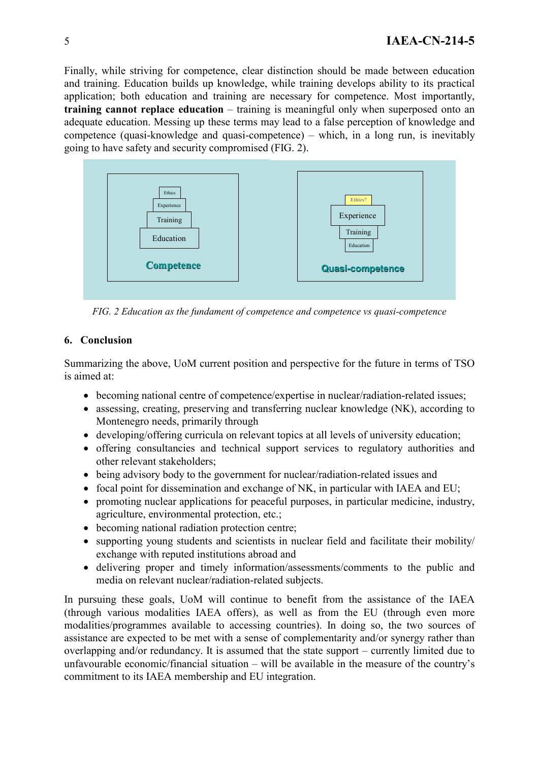Finally, while striving for competence, clear distinction should be made between education and training. Education builds up knowledge, while training develops ability to its practical application; both education and training are necessary for competence. Most importantly, **training cannot replace education** – training is meaningful only when superposed onto an adequate education. Messing up these terms may lead to a false perception of knowledge and competence (quasi-knowledge and quasi-competence) – which, in a long run, is inevitably going to have safety and security compromised (FIG. 2).



*FIG. 2 Education as the fundament of competence and competence vs quasi-competence* 

## **6. Conclusion**

Summarizing the above, UoM current position and perspective for the future in terms of TSO is aimed at:

- becoming national centre of competence/expertise in nuclear/radiation-related issues;
- assessing, creating, preserving and transferring nuclear knowledge (NK), according to Montenegro needs, primarily through
- developing/offering curricula on relevant topics at all levels of university education;
- offering consultancies and technical support services to regulatory authorities and other relevant stakeholders;
- being advisory body to the government for nuclear/radiation-related issues and
- focal point for dissemination and exchange of NK, in particular with IAEA and EU;
- promoting nuclear applications for peaceful purposes, in particular medicine, industry, agriculture, environmental protection, etc.;
- becoming national radiation protection centre;
- supporting young students and scientists in nuclear field and facilitate their mobility/ exchange with reputed institutions abroad and
- delivering proper and timely information/assessments/comments to the public and media on relevant nuclear/radiation-related subjects.

In pursuing these goals, UoM will continue to benefit from the assistance of the IAEA (through various modalities IAEA offers), as well as from the EU (through even more modalities/programmes available to accessing countries). In doing so, the two sources of assistance are expected to be met with a sense of complementarity and/or synergy rather than overlapping and/or redundancy. It is assumed that the state support – currently limited due to unfavourable economic/financial situation – will be available in the measure of the country's commitment to its IAEA membership and EU integration.